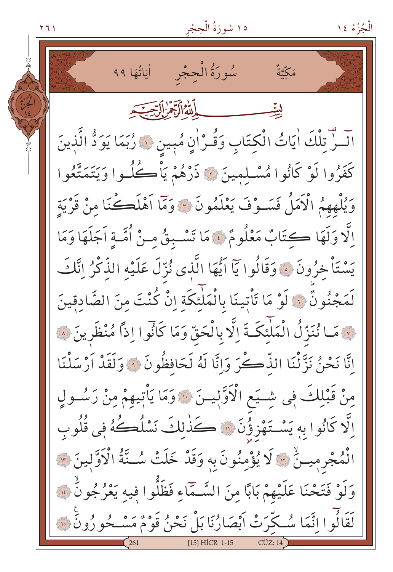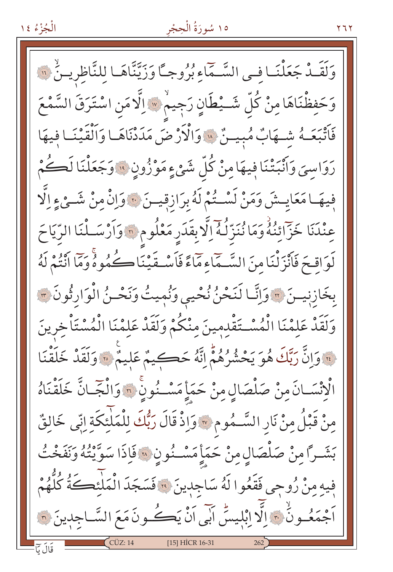# ١٥ سُورَةُ الْحِجْر

وَلَقَـٰدٌ جَعَلْنَـا فـى السَّـمَاءِ بُرُوجـًا وَزَيَّنَّاهَـا لِلنَّاظِرِيـنُّ ۞ وَحَفِظْنَاهَا مِنْ كُلِّ شَــيْطَانٍ رَجِيمٌ \* اِلَّا مَنِ اسْتَرَقَ السَّمْعَ فَأَتْبَعَـهُ شَـهَابٌ مُبِيـنٌ \* وَالْأَرْضَ مَدَدْنَاهَـا وَالْقَيْنَـا فِيهَا رَوَاسِيَ وَأَنْبَتْنَا فِيهَا مِنْ كُلِّ شَيْءٍ مَوْزُونِ ۞ وَجَعَلْنَا لَكُمْ فِيهَا مَعَايِـشَ وَمَنْ لَسْـتُمْ لَهُ بِرَازِقِيــنَ ۞ وَإِنْ مِنْ شَــىْءِ اِلَّا عِنْدَنَا خَزَآئِنُهُ وَمَا نُنَزِّلُهُ إِلَّا بِقَدَرِ مَعْلُومِ \* وَأَرْسَـلْنَا الرِّيَاحَ لَوَاقِحَ فَأَنْزَلْنَا مِنَ السَّمَّاءِ مَّاءً فَأَسْفَيْنَا كُمُوهُ وَمَّا أَنْتُمْ لَهُ بِخَازِنِيسَ ٣ وَإِنَّا لَنَحْنُ نُحْيِي وَنُمِيتُ وَنَحْسُ الْوَارِثُونَ ٣ وَلَقَدْ عَلِمْنَا الْمُسْتَقْدِمِينَ مِنْكُمْ وَلَقَدْ عَلَمْنَا الْمُسْتَأْخِرِينَ قَ وَإِنَّ رَبَّكَ هُوَ يَحْشُرُهُمْ إِنَّهُ حَكِيمٌ عَلِيمٌ ۚ وَلَقَدْ خَلَقْنَا الْإِنْسَـانَ مِنْ صَلْصَالٍ مِنْ حَمَأٍ مَسْـنُونِ ۚ وَالْجَـانَّ خَلَقْنَاهُ مِنْ قَبْلُ مِنْ نَارِ السَّـمُومِ ۞ وَإِذْ قَالَ رَبُّكَ لِلْمَلْئكَةِ إِنِّي خَالِقٌ بَشَرًا مِنْ صَلْصَالٍ مِنْ حَمَأٍ مَسْـنُونِ 35 فَإِذَا سَوَّيْتُهُ وَنَفَخْتُ فِيهِ مِنْ زُوجِي فَقَعُوا لَهُ سَاجِدِينَ ۞ فَسَجَدَ الْمَلْئِكَةُ كُلُّهُمْ اَجْمَعُـونَّ ۞ اِلَّا ابْلِيسَّ اَبِّي اَنْ يَڪُـونَ مَعَ السَّـاجِدِينَ ۞ [15] HİCR 16-31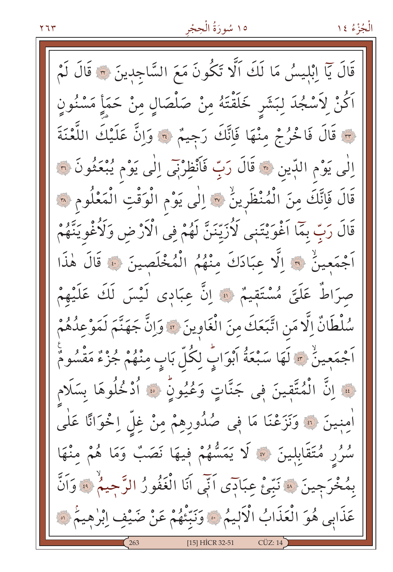

قَالَ يَآ اِبْلِيسُ مَا لَكَ الَّا تَكُونَ مَعَ السَّاجِدِينَ ۞ قَالَ لَمْ ٱكُنْ لِٱسْجُدَ لِبَشَرٍ خَلَقْتَهُ مِنْ صَلْصَالٍ مِنْ حَمَأٍ مَسْنُونٍ لَّ قَالَ فَاخْرُجْ مِنْهَا فَإِنَّكَ رَجِيمٌ ﴾ وَإِنَّ عَلَيْكَ اللَّعْنَةَ إِلَٰى يَوْمِ اللَّذِينَ ﴾ قَالَ رَبِّ فَأَنْظِرْنِي إِلَٰى يَوْمٍ يُبْعَثُونَ ۞ قَالَ فَاِنَّكَ مِنَ الْمُنْظَرِينُ ۞ إلٰى يَوْمِ الْوَقْتِ الْمَعْلُومِ ۞ قَالَ رَبِّ بِمَا اَغْوَيْتَنِي لَأُزَيِّنَنَّ لَهُمْ فِي الْأَرْضِ وَلَأُغْوِيَنَّهُمْ أَجْمَعِينُ ﴾ إِلَّا عِبَادَكَ مِنْهُمُ الْمُخْلَصِينَ ﴾ قَالَ هٰذَا صرَاطٌ عَلَيَّ مُسْتَقِيمٌ ۞ إِنَّ عِبَادِي لَيْسَ لَكَ عَلَيْهِمْ سُلْطَانٌ إِلَّا مَنِ اتَّبَعَكَ مِنَ الْغَاوِينَ ۞ وَإِنَّ جَهَنَّمَ لَمَوْعِدُهُمْ اَجْمَعِينُ ۞ لَهَا سَبْعَةُ اَبْوَابٍّ لِكُلِّ بَابٍ مِنْهُمْ جُزْءٌ مَقْسُومٌ لِيَّةَ إِنَّ الْمُتَّقِينَ فِي جَنَّاتٍ وَعُيُونٍّ ۞ أَدْخُلُوهَا بِسَلَامٍ أُمِنِينَ ۞ وَنَزَعْنَا مَا فِي صُٰدُورِهِمْ مِنْ غِلِّ اِخْوَانًا عَلَٰى سُرُرٍ مُتَقَابِلِينَ ۞ لَا يَمَسُّهُمْ فِيهَا نَصَبٌ وَمَا هُمْ مِنْهَا بِمُخْرَجِينَ ۞ نَبِّئْ عِبَادَى أَنِّي أَنَا الْغَفُورُ الرَّحِيمُ ۞ وَأَنَّ عَذَابِي هُوَ الْعَذَابُ الْأَلِيمُ ﴾ وَنَبِّئُهُمْ عَنْ صَيْفٍ إِبْرٰهِيمُ ﴾ [15] HICR 32-51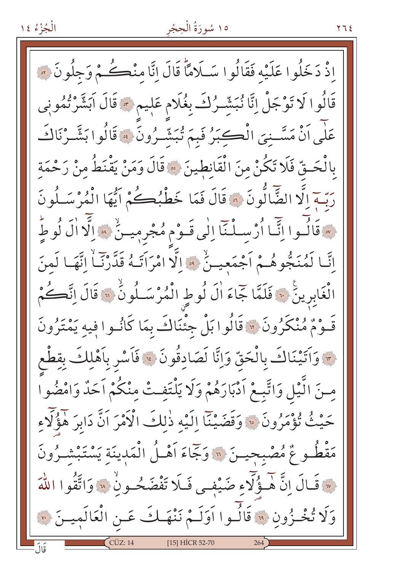### ١٥ سُورَةُ الْحِجْر

اذْ دَخَلُوا عَلَيْه فَقَالُوا سَلَامًا قَالَ إِنَّا مِنْڪُمْ وَجِلُونَ ۞ قَالُوا لَا تَوْجَلْ إِنَّا نُبَشِّرُكَ بِغُلَامٍ عَلِيمٍ \* قَالَ اَبَشَّرْتُمُونِي عَلَى أَنْ مَسَّـنِيَ الْڪِبَرُ فَبِمَ تُبَشَّـرُونَ ۞ قَالُوا بَشَّـرْنَاكَ بِالْحَـقِّ فَلَا تَكُنْ منَ الْقَانِطِينَ ﴾ قَالَ وَمَنْ يَقْنَطُ منْ رَحْمَة رَبِّــة إِلَّا الضَّالُّونَ ۞ قَالَ فَمَا خَطْبُـِكُمْ أَيُّهَا الْمُرْسَـلُونَ فَقَالُسُوا إِنَّمَا أُرْسِيلُنَّا إِلَى قَسُوْمِ مُجْرِمِيسُ ۚ وَالَّا الَّ لُوطٍّ إِنَّـا لَمُنَجُّوهُـمْ أَجْمَعِيـنّْ \* إِلَّا امْرَأَتَـهُ قَدَّرْنَـاْ إِنَّهَـا لَمنَ الْغَابِرِينَ ۞ فَلَمَّا جَاءَ أَلَ لُوطٍ الْمُرْسَـلُونُ ۞ قَالَ انَّكُمْ قَـوْمٌ مُنْكَرُونَ ۞ قَالُوا بَلْ جِئْنَاكَ بِمَا كَانُـوا فِيهِ يَمْتَرُونَ مِ وَاتَيْنَاكَ بِالْحَقِّ وَإِنَّا لَصَادِقُونَ ﴾ فَاَسْرِ بِاَهْلِكَ بِقِطْع مِنَ الَّيْلِ وَاتَّبِعْ اَدْبَارَهُمْ وَلَا يَلْتَفِتْ مِنْكُمْ اَحَدٌ وَامْضُواْ حَيْثُ تُؤْمَرُونَ ۞ وَقَضَيْنَا إِلَيْهِ ذٰلِكَ الْأَمْرَ اَنَّ دَابِرَ هَؤُلَّاءِ مَقْطُوعٌ مُصْبِحِيـنَ ۞ وَجَاءَ أَهْـلُ الْمَدِينَة يَسْتَبْشْـرُونَ لَهَ قَبَالَ إِنَّ هُـؤُلًّا و ضَيْفـى فَلَا تَفْضَحُـونِ لَهَ وَاتَّقُوا اللَّهَ وَلَا تُخْزُونِ ۞ قَالُوا أَوَلَـمْ نَنْهَـكَ عَـنِ الْعَالَمِيـنَ ۞ [15] HİCR 52-70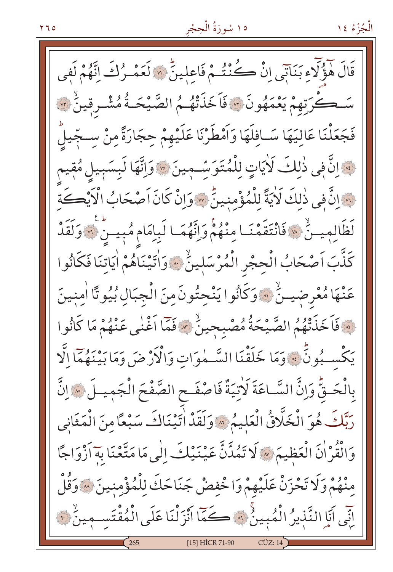قَالَ هَؤُلَّاءِ بَنَاتِي إِنْ كُنْتُمْ فَاعِلِينٍّ ۞ لَعَمْـرُكَ إِنَّهُمْ لَفِي سَــكُرِتهمْ يَعْمَهُونَ ۞ فَاَخَذَتْهُمُ الصَّيْحَـةُ مُشْـرقِينٌ ۞ فَجَعَلْنَا عَاليَهَا سَـافلَهَا وَاَمْطَرْنَا عَلَيْهِمْ حِجَارَةً مِنْ سِـجِّيلً لِهَ إِنَّ فِي ذٰلِكَ لَأَيَاتٍ لِلْمُتَوَسِّـمِينَ \* وَإِنَّهَا لَبِسَبِيلِ مُقِيم لِمَّا إِنَّ فِي ذٰلكَ لَأَيَةً لِلْمُؤْمِنِينَّ \* وَإِنْ كَانَ اَصْحَابُ الْأَيْكَةِ لَظَالِمِيسُ ۚ ۞ فَانْتَقَمْنَـا مِنْهُمْ وَانَّهُمَـا لَبِامَامِ مُبِيسٌ ۚ ۞ وَلَقَدْ كَنَّبَ اَصْحَابُ الْحِجْرِ الْمُرْسَلِينُ \* وَاٰتَيْنَاهُمْ اٰيَاتِنَا فَكَانُوا عَنْهَا مُعْرِضِيتُ ۚ ۞ وَكَانُوا يَنْحِتُونَ مِنَ الْجِبَالِ بُيُوتًا اٰمِنِينَ [\* فَاَخَذَتْهُمُ الصَّيْحَةُ مُصْبِحِينٌ \* فَمَا اَغْنٰى عَنْهُمْ مَا كَانُوا يَكْسِبُونَّ » وَمَا خَلَقْنَا السَّـمٰوَاتِ وَالْأَرْضَ وَمَا بَيْنَهُمَّا اِلَّا بِالْحَـقِّ وَإِنَّ السَّـاعَةَ لَأَتِيَةٌ فَاصْفَـحِ الصَّفْحَ الْجَمِيـلَ \* إِنَّ رَبَّكَ هُوَ الْخَلَّاقُ الْعَلِيمُ \* وَلَقَدْ اٰتِيْنَاكَ سَبْعًا مِنَ الْمَثَانِي وَالْقُرْاٰنَ الْعَظِيمَ ﴾ لَا تَمُدَّنَّ عَيْنَيْكَ إِلَٰى مَا مَتَّعْنَا بِهَ اَزْوَاجًا مِنْهُمْ وَلَا تَحْزَنْ عَلَيْهِمْ وَاخْفِضْ جَنَاحَكَ لِلْمُؤْمِنِينَ ۞ وَقُلْ لِّنِّي أَيَا النَّذِيرُ الْمُبِينُ \* كَمَّا أَنْزَلْنَا عَلَى الْمُقْتَسِمِينُ \* [15] HİCR 71-90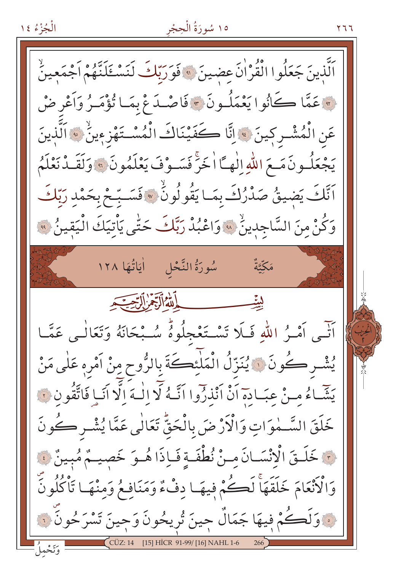الْجُزْءُ ١٤

# ١٥ سُورَةُ الْحِجْر

۲ ٦ ٦

اَلَّذِينَ جَعَلُوا الْقُرْاٰنَ عضينَ ۞ فَوَرَبّكَ لَنَسْـئَلَنَّهُمْ اَجْمَعِينُ لِهِ عَمَّا كَانُوا يَعْمَلُـونَ ﴾ فَاصْـدَعْ بِمَـا تُؤْمَـرُ وَاَعْرِ ضْ عَنِ الْمُشْرِكِينَ ﴾ إنَّا كَفَيْنَاكَ الْمُسْتَهْزِءِينُ ﴾ الَّذِينَ يَجْعَلُـونَ مَـعَ اللّهِ إِلٰهِــًا اٰخَرَّ فَسَــوْفَ يَعْلَمُونَ ۞ وَلَقَــدْ نَعْلَمُ اَنَّكَ يَضيقُ صَدْرُكَ بِمَـا يَقُولُونُ ۞ فَسَـبّحْ بِحَمْدِ رَبّكَ وَكُنْ مِنَ السَّاجِدِينُ ۚ ﴾ وَاعْبُدْ رَبَّكَ حَتَّى يَأْتِيَكَ الْيَقِينُ ﴾ مَكَّتَّةٌ اللهُ الَّذِهَرِ السِّبَهِ ليٽي أَتَّبِي أَمْيَرُ اللَّهِ فَبَلَا تَسْتَغْجِلُوهُ سُبْحَانَهُ وَتَعَالَٰـى عَمَّــا يُشْرِكُونَ ۞ يُنَزِّلُ الْمَلْئِكَةَ بِالرُّوحِ مِنْ آمْرِهِ عَلٰى مَنْ يَشَّاءُ مِنْ عِبَادِهِ أَنْ أَنْذِرُوا اتَّهُ لَّا إِلٰهَ إِلَّا أَنَبا فَاتَّقُونَ فَ خَلَقَ السَّـمٰوَاتِ وَالْأَرْضَ بِالْحَقُّ تَعَالٰي عَمَّا يُشْـر كُونَ نَ خَلَـقَ الْإِنْسَـانَ مِـنْ نُطْفَـةٍ فَـاِذَا هُـوَ خَصِيـمٌ مُبِينٌ فَ وَالْأَنْعَامَ خَلَقَهَاْ لَكُمْ فِيهَا دِفْءٌ وَمَنَافِعُ وَمِنْهَا تَأْكُلُونَ يَّ وَلَكُمْ فِيهَا جَمَالٌ جِينَ تُرِيحُونَ وَجِينَ تَسْرَحُونَ ۞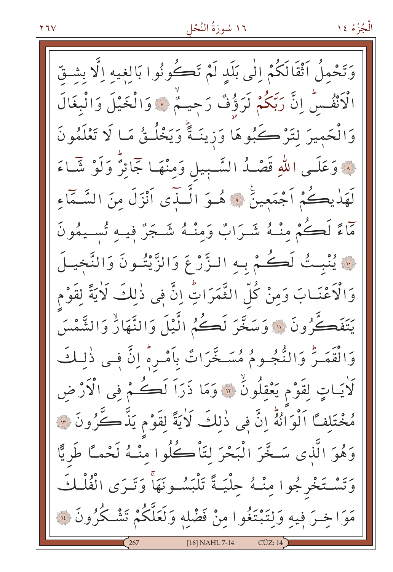وَتَحْمِلُ ٱثْقَالَكُمْ اِلٰى بَلَدِ لَمْ تَكُونُوا بَالِغِيهِ اِلَّا بِشْقّ الْأَنْفُسُ إِنَّ رَبِّكُمْ لَرَؤُفٌ رَجِيمٌ ﴾ وَالْخَيْلَ وَالْبِغَالَ وَالْحَمِيرَ لِتَرْكُبُوهَا وَزِينَـةً وَيَخْلُـقُ مَـا لَا تَعْلَمُونَ ۞ وَعَلَـى اللّٰهِ قَصْـدُ السَّـبِيل وَمِنْهَـا جَمَائِزٌ وَلَوْ شَـَاءَ لَهَٰذِيكُمْ اَجْمَعِينَ ۚ ﴿ هُـوَ الَّـذِّي اَنْزَلَ مِنَ السَّـمَّاءِ مَاءً لَكُمْ مِنْـهُ شَـرَابٌ وَمِنْـهُ شَـجَرٌ فِيـهِ تُسـيمُونَ نَ يُنْبِتُ لَكُمْ بِهِ الزَّرْعَ وَالزَّيْتُونَ وَالتَّخِيلَ وَالْأَعْنَـابَ وَمِنْ كُلِّ الثَّمَرَاتِ إِنَّ فِى ذٰلِكَ لَأَيَةً لِقَوْم يَتَفَكَّرُونَ ۚ ۚ وَسَخَّرَ لَكُمُ الَّيْلَ وَالنَّهَارُّ وَالشَّمْسَ وَالْقَمَـرُّ وَالنُّجُـومُ مُسَـخَّرَاتٌ بِأَمْـرِهِ إِنَّ فِـى ذٰلِـكَ لَاٰيَـاتٍ لِقَوْمٍ يَعْقِلُونَٰ ۞ وَمَا ذَرَاَ لَكُمْ فِي الْآرْضِ مُخْتَلِفًا اَلْوَانُهُ إِنَّ فِي ذٰلِكَ لَايَةً لِقَوْمٍ يَذَّكَّرُونَ ۞ وَهُوَ الَّذِي سَخَّرَ الْبَحْرَ لِتَأْكُلُوا مِنْـهُ لَحْمـًا طَرِيًّا وَتَسْتَخْرِجُوا مِنْـهُ حِلْيَـةً تَلْبَسُـونَهَاْ وَتَـرَى الْفُلْـكَ مَوَاخِـرَ فِيهِ وَلِتَبْتَغُوا مِنْ فَضْلِهِ وَلَعَلَّكُمْ تَشْـكُرُونَ ۞ [16] NAHL 7-14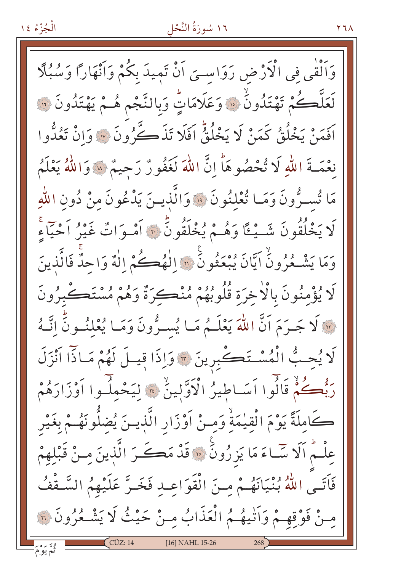#### ١٦ سُورَةُ النَّحْل

وَالْقٰی فی الْاَرْض رَوَاسـیَ اَنْ تَمِیدَ بِکُمْ وَاَنْهَاراً وَسُبُلًا لَعَلَّكُمْ تَهْتَدُونَْ ۞ وَعَلَامَاتٍّ وَبِالنَّجْمِ هُـمْ يَهْتَدُونَ ۞ أَفَمَنْ يَخْلُقُ كَمَنْ لَا يَخْلُقُّ أَفَلَا تَذَكَّرُونَ ۞ وَانْ تَعُدُّوا نَعْمَـةَ اللهِ لَا تُحْصُوهَا إِنَّ اللَّهَ لَغَفُورٌ رَحِيمٌ \* وَاللَّهُ يَعْلَمُ مَا تُسـرُّونَ وَمَـا تُعْلَنُونَ ۚ وَالَّذِيـنَ يَدْعُونَ منْ دُونِ اللَّهِ كَا يَخْلُقُونَ شَــْيْـًا وَهُــمْ يُخْلَقُونَ \* أَمْـوَاتٌ غَيْرُ أَحْيَاءِ وَمَا يَشْكُرُونُ آيَّانَ يُبْعَثُونَ ۞ الْهُكُمُ إِلٰهٌ وَاحِدٌ فَالَّذِينَ كَا يُؤْمِنُونَ بِالْأَخِرَةِ قُلُوبُهُمْ مُنْڪِرَةٌ وَهُمْ مُسْتَڪْبِرُونَ لَّ لَا جَـرَمَ اَنَّ اللّٰهَ يَعْلَـمُ مَـا يُســرُّونَ وَمَـا يُعْلِنُــونَ اِنَّــهُ لَا يُحِبُّ الْمُسْتَكْبِرِينَ \* وَإِذَا قِيلَ لَهُمْ مَاذَا اَنْزَلَ رَبُّعُكُمْ قَالُوا اَسَـاطِيرُ الْأَوَّلِينُ ۚ ﴾ لِيَحْمِلُـوا اَوْزَارَهُمْ كَامِلَةً يَوْمَ الْقِيْمَةْ وَمِنْ أَوْزَارِ الَّذِينَ يُضلُّونَهُـمْ بِغَيْرِ عِلْـمُ اَلَا سَّـاءَ مَا يَزِرُونَ ۚ ۚ قَدْ مَكَــرَ الَّذِينَ مِـنْ قَبْلِهِمْ فَاَتَـى اللَّهُ بُنْيَانَهُـمْ مِنَ الْقَوَاعِـدِ فَخَـرَّ عَلَيْهِمُ السَّـقْفُ مِنْ فَوْقِهِمْ وَأَتْيَهُمُ الْعَذَابُ مِنْ حَيْثُ لَا يَشْـعُرُونَ ۞ [16] NAHL 15-26

۲٦۸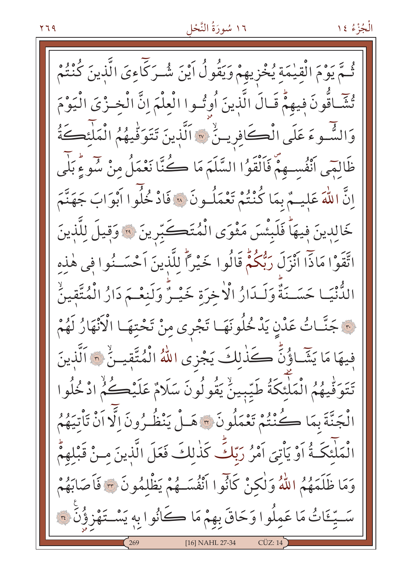ـمّ يَوْمَ الْقِيْمَةِ يُخْزِيهِمْ وَيَقُولُ أَيْنَ شُـرَكَّاءِيَ الَّذينَ كُنْتُمْ تُشَاقُونَ فِيهِمّْ قَـالَ الَّذِينَ أُوتُـوا الْعِلْمَ إِنَّ الْخِـزْيَ الْيَوْمَ وَالشَّـوءَ عَلَى الْكَافِرِينُ \* اَلَّذِينَ تَتَوَفَّيهُمُ الْمَلْنَكَةُ ظَالِمَى اَنْفُسِهِمْ فَاَلْقَوُا السَّلَمَ مَا كُنَّا نَعْمَلُ مِنْ سُوءٍ بَلَى إِنَّ اللَّهَ عَلِيهُمْ بِمَا كُنْتُمْ تَعْمَلُونَ ۞ فَادْ خُلُوا أَبْوَابَ جَهَنَّمَ خَالِدِينَ فِيهَا فَلَبِئْسَ مَثْوَى الْمُتَكَبِّرِينَ ۞ وَقِيلَ لِلَّذِينَ اتَّقَوْا مَاذًّا انْزَلَ رَبُّكُمْ قَالُوا خَيْرًا للَّذِينَ اَحْسَــنُوا فِي هٰذِه الدُّنْيَـا حَسَـنَةٌ وَلَـدَارُ الْاخرَة خَيْـرٌّ وَلَنِعْـمَ دَارُ الْمُتَّقِينُ نَ جَنَّـاتُ عَدْنٍ يَدْخُلُونَهَـا تَجْرى مِنْ تَحْتِهَـا الْأَنْهَارُ لَهُمْ فِيهَا مَا يَشَّاؤُنَّ كَذٰلِكَ يَجْزِى اللّهُ الْمُتَّقِيـنِّ ۞ اَلَّذِينَ تَتَوَفَّيهُمُ الْمَلْئِكَةُ طَيِّبِينٌ يَقُولُونَ سَلَامٌ عَلَيْكُمُ ادْخُلُوا الْجَنَّةَ بِمَا كُنْتُمْ تَعْمَلُونَ ٣ هَـلْ يَنْظُـرُونَ الَّا اَنْ تَأْتِيَهُمُ الْمَلْئِكَـةُ اَوْ يَأْتِيَ اَمْرُ رَبِّكَ كَذٰلِكَ فَعَلَ الَّذِينَ مِـنْ قَبْلِهِمُّ وَمَا ظَلَمَهُمُ اللَّهُ وَلٰكِنْ كَانُوا اَنْفُسَـهُمْ يَظْلِمُونَ ﴾ فَاَصَابَهُمْ سَّـيِّـئَاتُ مَا عَمِلُوا وَحَاقَ بِهِمْ مَا كَانُوا بِهِ يَسْـتَهْزِؤُنِّ ؟ [16] NAHL 27-34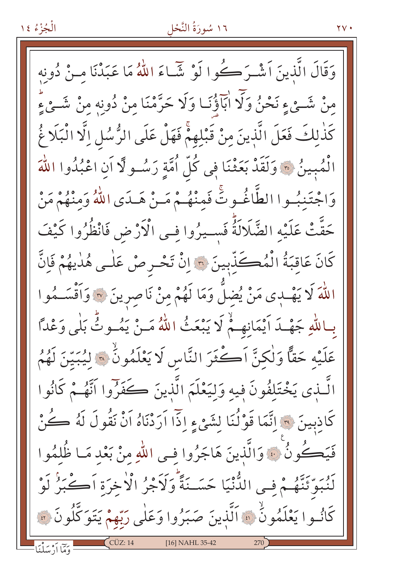#### ١٦ سُورَةُ النَّحْل

وَقَالَ الَّذِينَ اَشْـرَكُوا لَوْ شَّـاءَ اللَّهُ مَا عَبَدْنَا مـنْ دُونِه منْ شَـيْءِ نَحْنُ وَلَّا ابَاؤُنَـا وَلَا حَرَّمْنَا منْ دُونهِ منْ شَـيْءٍ كَذٰلكَ فَعَلَ الَّذِينَ مِنْ قَبْلِهِمْ فَهَلْ عَلَى الرُّسُلِ اِلَّا الْبَلَا غُ الْمُبِينُ ۞ وَلَقَدْ بَعَثْنَا فِي كُلِّ أُمَّةٍ رَسُـو لَّا أَنِ اعْبُدُوا اللَّهَ وَاجْتَنبُوا الطَّاغُوتَّ فَمِنْهُمْ مَنْ هَـدَى اللّٰهُ وَمِنْهُمْ مَنْ حَقَّتْ عَلَيْه الضَّلَالَةُ فَسـيرُوا فِـي الْأَرْضِ فَانْظُرُوا كَيْفَ كَانَ عَاقِبَةُ الْمُكَذِّبِينَ ۞ إِنْ تَحْرِصْ عَلَى هُدٰيهُمْ فَإِنَّ اللَّهَ لَا يَهْدِى مَنْ يُضِلُّ وَمَا لَهُمْ مِنْ نَاصِرِينَ ۞ وَأَقْسَـمُوا بِبِاللَّهِ جَهْدَ أَيْمَانِهِمْ لَا يَبْعَثُ اللَّهُ مَـنْ يَمُـوثُ بَلْي وَعْدًا عَلَيْهِ حَقًّا وَلٰكِنَّ اَكْثَرَ النَّاسِ لَا يَعْلَمُونُّ ۞ لِيُبَيِّنَ لَهُمُ الَّـذِي يَخْتَلِفُونَ فِيهِ وَلِيَعْلَمَ الَّذِينَ كَفَرُوا اَتَّهُـمْ كَانُوا كَاذِبِينَ ۞ اِنَّمَا قَوْلُنَا لِشَيْءٍ إِذَا اَرَدْنَاهُ اَنْ نَقُولَ لَهُ كُنْ فَيَكُونُ ۚ وَالَّذِينَ هَاجَرُوا فِي اللَّهِ مِنْ بَعْدِ مَـا ظُلمُوا لَنُبَوِّئَنَّهُمْ فِي الدُّنْيَا حَسَـنَةً وَلَاَجْرُ الْاخِرَة اَكْبَرُ لَوْ كَانُوا يَعْلَمُونُ ۚ وَالَّذِينَ صَبَرُوا وَعَلَى رَبِّهِمْ يَتَوَكَّلُونَ ۞ [16] NAHL 35-42 وَمَّا أَدْ مَبِلْنَا

 $\gamma$   $\gamma$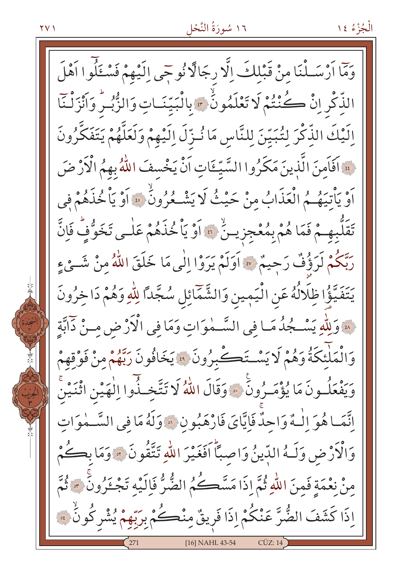الْجُزْءُ ١٤

وَمَّا أَرْسَـلْنَا مِنْ قَبْلِكَ إِلَّا رِجَالًا نُوحَى إِلَيْهِمْ فَسْـئَلُوا اَهْلَ الذَّكْرِ إِنَّ كُنْتُمْ لَا تَعْلَمُونَّ \* بِالْبَيِّنَـاتِ وَالزُّبُـرِّ وَأَنْزَلْنَا اِلَيْكَ الذِّكْرَ لِتُبَيِّنَ لِلنَّاسِ مَا نُـزِّلَ اِلَيْهِمْ وَلَعَلَّهُمْ يَتَفَكَّرُونَ لِهَ اَفَاَمِنَ الَّذِينَ مَكَرُوا السَّيِّئَاتِ اَنْْ يَخْسِفَ اللَّهُ بِهِمُ الْأَرْضَ أَوْ يَأْتِيَهُمُ الْعَذَابُ مِنْ حَيْثُ لَا يَشْكُرُونُ ۚ ﴾ أَوْ يَأْخُذَهُمْ فِي تَقَلَّبِهِـمْ فَمَا هُمْ بِمُعْجِزِيسٌ ۚ وَ وَ يَاْ خُذَهُمْ عَلٰـى تَخَوُّفُ فَإِنَّ رَبَّكُمْ لَرَؤُفٌ رَحِيمٌ \* اَوَلَمْ يَرَوْا اِلٰى مَا خَلَقَ اللَّهُ مِنْ شَــىْءٍ يَتَفَيَّؤُا ظِلَالُهُ عَنِ الْيَمِينِ وَالشَّمَّائِلِ سُجَّدًا لِلَّهِ وَهُمْ دَا خِرُونَ لِمَّةِ وَلِلَّهِ يَسْـجُدُ مَـا فِي السَّـمٰوَاتِ وَمَا فِي الْأَرْضِ مِـنْ دَابَّةِ وَالْمَلْئِكَةُ وَهُمْ لَا يَسْتَكْبِرُونَ ﴾ يَخَافُونَ رَبَّهُمْ مِنْ فَوْقِهِمْ وَيَفْعَلُـونَ مَا يُؤْمَـرُونَ ۚ وَقَالَ اللَّهُ لَا تَتَّخِـذُوا اِلْهَيْنِ اتّْنَيْنَ إِنَّمَا هُوَ إِلْـهٌ وَاحِدٌ فَإِيَّايَ فَارْهَبُونَ ۞ وَلَهُ مَا فِي السَّــمٰوَاتِ وَالْأَرْضِ وَلَـهُ الدِّينُ وَاصِبًّا أَفَغَيْرَ اللَّهِ تَتَّقُونَ ۞ وَمَا بِكُمْ مِنْ نِعْمَةٍ فَمِنَ اللَّهِ ثُمَّ إِذَا مَسَّكُمُ الضُّرُّ فَإِلَيْهِ تَجْزَرُونَ \* ثُمَّ إِذَا كَشَفَ الضُّرَّ عَنْكُمْ إِذَا فَرِيقٌ مِنْكُمْ بِرَبِّهِمْ يُشْرِكُونُ ﴾ [16] NAHL 43-54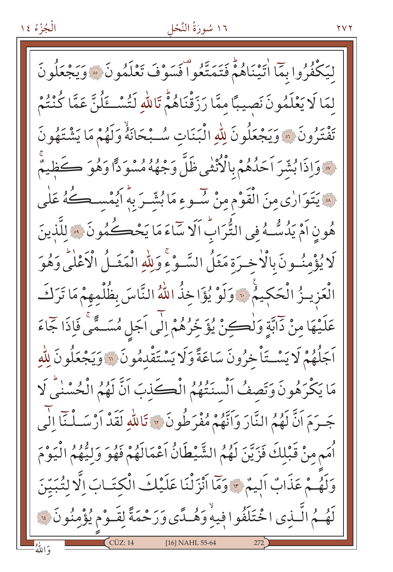### ١٦ سُورَةُ النَّحْل

لْيَكْفُرُوا بِمَا اٰتَيْنَاهُمْ فَتَمَتَّعُوا فَسَوْفَ تَعْلَمُونَ ۞وَيَجْعَلُونَ لمَا لَا يَعْلَمُونَ نَصِيبًا ممَّا رَزَقْنَاهُمّْ تَاللّهِ لَتُسْتَلُنَّ عَمَّا كُنْتُمْ تَفْتَرُونَ ۞ وَيَجْعَلُونَ لِلّهِ الْبَنَاتِ سُـبْحَانَهُ وَلَهُمْ مَا يَشْتَهُونَ » وَإِذَا بُشَّرَ اَحَدُهُمْ بِالْأُنْثَى ظَلَّ وَجْهُهُ مُسْوَدًّا وَهُوَ ڪَظِيمٌ ه يَتَوَارٰي مِنَ الْقَوْمِ مِنْ سُـوءِ مَا بُشّـرَ بِهُ أَيُمْسـطُهُ عَلٰى هُونِ اَمْ يَدُسُّـهُ فِي الثُّرَابِّ اَلَا سَاءَ مَا يَخْڪُمُونَ ۞ للَّذينَ لَا يُؤْمِنُونَ بِالْأَخِيرَةِ مَثَلُ السَّوْءِ وَلِلّهِ الْمَثَمُّ الْأَعْلَى وَهُوَ الْعَزِيــزُ الْحَكِيمُ ۚ وَلَوْ يُؤَاخِذُ اللَّهُ النَّاسَ بِظُلْمِهِمْ مَا تَرَكَ عَلَيْهَا مِنْ دَابَّةٍ وَلْكِنْ يُؤَخِّرُهُمْ إِلَى اَجَلِ مُسَـمَّى فَإِذَا جَمَاءَ اَجَلُهُمْ لَا يَسْتَأْخِرُونَ سَاعَةً وَلَا يَسْتَقْدِمُونَ ۞ وَيَجْعَلُونَ لِلَّهِ مَا يَكْرَهُونَ وَتَصِفُ اَلْسِنَتُهُمُ الْكَذِبَ اَنَّ لَهُمُ الْحُسْنٰيُّ لَا جَـرَمَ اَنَّ لَهُمُ النَّارَ وَاَنَّهُمْ مُفْرَطُونَ \* تَاللّٰهِ لَقَدْ اَرْسَـلْـنَا الْي أُمَم مِنْ قَبْلِكَ فَزَيّنَ لَهُمُ الشَّيْطَانُ آَعْمَالَهُمْ فَهُوَ وَلِيُّهُمُ الْيَوْمَ وَلَهُمْ عَذَابٌ اَلِيمٌ \* وَمَّا أَنْزَلْنَا عَلَيْكَ الْكِتَـابَ إِلَّا لِتُبَيِّنَ لَهُمُ الَّـٰذِى اخْتَلَفُوا فِيهْ وَهُٰـدًى وَرَحْمَةً لِقَـوْم يُؤْمِنُونَ فَّ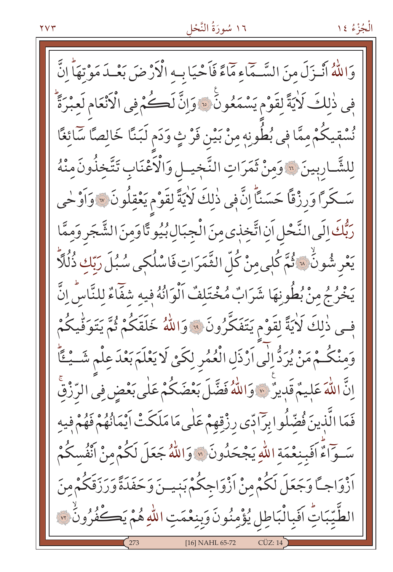وَاللَّهُ أَنْـزَلَ مِنَ السَّـجَاءِ مَمَاءً فَأَحْيَا بِـهِ الْأَرْضَ بَعْـدَ مَوْتِهَاً إِنَّ في ذٰلكَ لَايَةً لقَوْم يَسْمَعُونَ ۞ وَإِنَّ لَكُمْ فِي الْأَنْعَامِ لَعِبْرَةً نُسْقِيكُمْ مِمَّا فِي بُطُونِهِ مِنْ بَيْنِ فَرْ ثٍ وَدَمِ لَبَنَّا خَالِصًّا سَّائِغًا لِلشَّارِبِينَ ۞ وَمِنْ ثَمَرَاتِ النَّجِيلِ وَالْأَعْنَابِ تَتَّخِذُونَ مِنْهُ سَكَرًا وَرِزْقًا حَسَنًاً إِنَّ فِي ذٰلِكَ لَأَيَةً لِقَوْمٍ يَعْقِلُونَ \* وَأَوْ حٰي رَبُّكَ إِلَى النَّحْلِ أَنِ اتَّخِذِي مِنَ الْجِبَالِ بُيُو تَّا وَمِنَ الشَّجَرِ وَمِمَّا يَعْرِ شُونُهُ ۞ ثُمَّ كُلِّي مِنْ كُلِّ الثَّمَرَاتِ فَاسْلُكِي سُبُلَ رَبِّكِ ذُلُلًّا ۖ يَخْرُجُ مِنْ بُطُونِهَا شَرَابٌ مُخْتَلِفٌ اَلْوَانُهُ فِيهِ شَفّاءٌ لِلنَّاسِ اِنَّ فِحِي ذٰلِكَ لَأَيَةً لِقَوْمٍ يَتَفَكَّرُونَ ۚ ۚ وَاللَّهُ خَلَقَكُمْ ثُمَّ يَتَوَقِّيكُمْ وَمِنْكُمْ مَنْ يُرَدُّ إِلَى اَرْذَلِ الْعُمُرِ لِكَيْ لَا يَعْلَمَ بَعْدَ عِلْمٍ شَــْـئَاً اِنَّ اللّٰهَ عَلِيمٌ قَدِيرٌ ۞ وَاللّٰهُ فَضَّلَ بَعْضَكُمْ عَلٰى بَعْضٍ فِى الرِّزْقِ فَعَا الَّذِينَ فُضِّلُوا بِرَادِّي رِزْقِهِمْ عَلَى مَا مَلَكَتْ اَيْمَانُهُمْ فَهُمْ فِيهِ سَوَاءٌ اَفَبِنغْمَةِ اللَّهِ يَجْحَدُونَ ۞ وَاللَّهُ جَعَلَ لَكُمْ مِنْ اَنْفُسكُمْ ٱزْوَاجِــًا وَجَعَلَ لَكُمْ مِنْ ٱزْوَاجِكُمْ بَنِيــنَ وَحَفَدَةً وَرَزَقَكُمْ مِنَ الطَّيِّبَاتِ اَفَبِالْبَاطِلِ يُؤْمِنُونَ وَبِنِعْمَتِ اللّٰهِ هُمْ يَكَفُّرُونُ ۞ [16] NAHL 65-72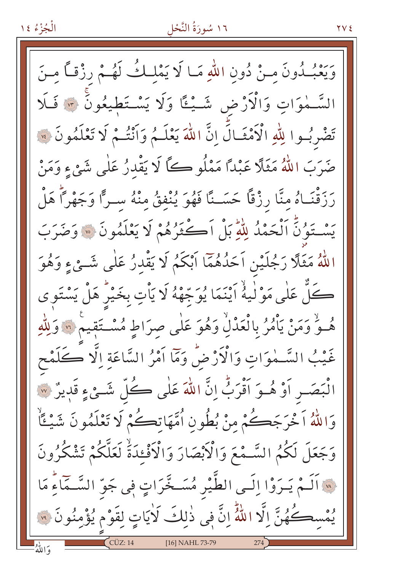#### ١٦ سُورَةُ النَّحْل

وَيَعْبُدُونَ مـنْ دُونِ اللّهِ مَـا لَا يَمْلِكُ لَهُـمْ رِزْقاً مِـنَ السَّـٰمٰوَاتِ وَالْأَرْضِ شَــْيُـًا وَلَا يَسْـتَطِيعُونَ ۞ فَـلَا تَضْرِبُوا لِلَّهِ الْأَمْثَـالِّ إِنَّ اللَّهَ يَعْلَـمُ وَأَنْتُـمْ لَا تَعْلَمُونَ \* ضَرَبَ اللَّهُ مَثَلًا عَبْدًا مَمْلُو كَمَّا لَا يَقْدِرُ عَلَى شَيْءٍ وَمَنْ رَزَقْنَـاهُ مِنَّا رِزْقًا حَسَـنًا فَهُوَ يُنْفِقُ مِنْهُ سـرًّا وَجَهْرًا هَلْ يَسْتَوُنَّ اَلْحَمْدُ لِلَّهِ بَلْ اَكْثَرُهُمْ لَا يَعْلَمُونَ ۞ وَضَرَبَ اللَّهُ مَثَلًا رَجُلَيْنِ اَحَدُهُمَّا اَبْكَمُ لَا يَقْدِرُ عَلَى شَـِّيءٍ وَهُوَ كُلّْ عَلَى مَوْلَيْهُ آيْنَمَا يُوَجِّهْهُ لَا يَأْتِ بِخَيْرٍ هَلْ يَسْتَوِى هُ وَ وَمَنْ يَأْمُرُ بِالْعَدْلِ وَهُوَ عَلَى صِرَاطٍ مُسْتَقِيمٌ ۞ وَلِلَّهِ غَيْبُ السَّـمٰوَاتِ وَالْأَرْضُ وَمَّا اَمْرُ السَّاعَةِ اِلَّا كَلَمْح الْبَصَـرِ أَوْ هُـوَ أَقْرَبُّ إِنَّ اللَّهَ عَلٰى كُلِّ شَـئٍ ءِ قَدِيرٌ ۞ وَاللَّهُ اَخْرَجَكُمْ مِنْ بُطُونِ اُمَّهَاتِكُمْ لَا تَعْلَمُونَ شَيْئًاْ وَجَعَلَ لَكُمُ السَّـمْعَ وَالْأَبْصَارَ وَالْأَفْءَدَةُ لَعَلَّكُمْ تَشْكُرُونَ لِهِ اَلَـمْ يَـرَوْا إِلَـى الطَّيْرِ مُسَـخَّرَاتٍ فِي جَوِّ السَّـمَاءِ مَا يُمْسكُهُنَّ إِلَّا اللَّهُ إِنَّ فِي ذٰلِكَ لَايَاتٍ لِقَوْمٍ يُؤْمِنُونَ ۞ [16] NAHL 73-79 وَاللَّهُ

**YVE**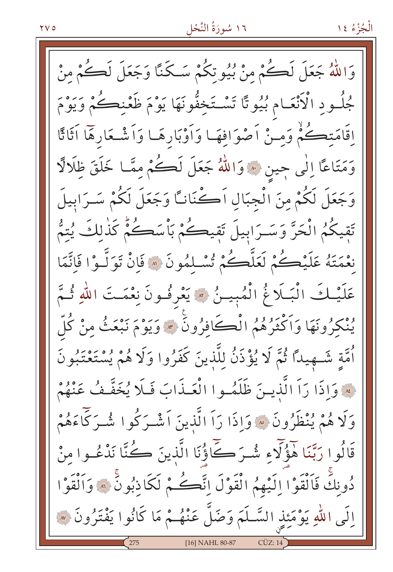الْجُزْءُ ١٤

وَاللَّهُ جَعَلَ لَكُمْ مِنْ بُيُوتِكُمْ سَكَنَّا وَجَعَلَ لَكُمْ مِنْ مُجلُّـودِ الْأَنْعَـامِ بُيُوتًا تَسْتَخِفُّونَهَا يَوْمَ ظَعْنِڪُمْ وَيَوْمَ إِقَامَتِكُمْ وَمِـنْ أَصْوَافِهَـا وَأَوْبَارِهَـا وَأَشْـعَارِهَا أَثَاثًا وَمَتَاعًا اِلٰى جِين \* وَاللّهُ جَعَلَ لَكُمْ مِمَّـا خَلَقَ ظِلَالًا وَجَعَلَ لَكُمْ مِنَ الْجِبَالِ اَكْنَانَـَّا وَجَعَلَ لَكُمْ سَـرَابِيلَ تَقِيكُمُ الْحَرَّ وَسَرَابِيلَ تَقِيكُمْ بَأْسَكُمْ كَذٰلكَ يُتمُّ نِعْمَتَهُ عَلَيْكُمْ لَعَلَّكُمْ تُسْلِمُونَ ۞ فَإِنْ تَوَلَّـوْا فَاتَّمَا عَلَيْـكَ الْبَـلَاغُ الْمُبِيـنُ ۞ يَعْرِفُـونَ نِعْمَـتَ اللّهِ ثُـمَّ يُنْكَرُونَهَا وَاَكْثَرُهُمُ الْڪَافِرُونَ ۞ وَيَوْمَ نَبْعَثُ مِنْ كُلّ أُمَّةٍ شَـهِيداً ثُمَّ لَا يُؤْذَنُ لِلَّذِينَ كَفَرُوا وَلَا هُمْ يُسْتَعْتَبُونَ لِهِ وَإِذَا رَآ الَّذِينَ ظَلَمُوا الْعَـذَابَ فَلَا يُخَفَّفُ عَنْهُمْ وَلَا هُمْ يُنْظَرُونَ ۞ وَإِذَا رَاَ الَّذِينَ اَشْـرَكُوا شُـرَكَّاءَهُمْ قَالُوا رَبَّنَا هَؤُلَّاءِ شُرَكَّاؤُنَا الَّذِينَ كُنَّا نَدْعُـوا مِنْ دُونِكَ فَاَلْقَوْا إِلَيْهِمُ الْقَوْلَ إِنَّكُمْ لَكَاذِبُونَّ ۞ وَاَلْقَوْا إِلَى اللَّهِ يَوْمَئِذِ السَّـلَمَ وَضَلَّ عَنْهُـمْ مَا كَانُوا يَفْتَرُونَ ۞ [16] NAHL 80-87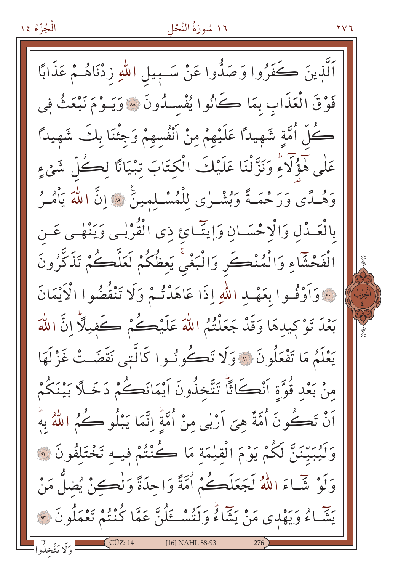#### ١٦ سُورَةُ النَّحْل

۲۷٦

اَلَّذِينَ ڪَفَرُوا وَصَدُّوا عَنْ سَـبِيلِ اللّٰهِ زِدْنَاهُــمْ عَذَابًا فَوْقَ الْعَذَابِ بِمَا كَانُوا يُفْسِدُونَ ۞ وَيَـوْمَ نَبْعَثُ فِي كُلّْ اُمَّةٍ شَهِيداً عَلَيْهِمْ مِنْ اَنْفُسهِمْ وَجِئْنَا بِكَ شَهِيداً عَلٰی هَؤُلَاءٌ وَنَزَّلْنَا عَلَیْكَ الْکِتَابَ تِبْیَانًا لِڪُلِّ شَیْءٍ وَهُـدًى وَرَحْمَـةً وَبُشْـرٰى لِلْمُسْـلمينَ \* إِنَّ اللَّهَ يَأْمُـرُ بِالْعَـٰدْلِ وَالْإِحْسَـانِ وَإِيتَّـائِ ذِي الْقُرْبِـي وَيَنْهْـي عَـن الْفَحْشَاءِ وَالْمُنْڪَرِ وَالْبَغْيَّ يَعِظُكُمْ لَعَلَّكُمْ تَذَكَّرُونَ فَ وَأَوْفُوا بِعَهْدِ اللَّهِ إِذَا عَاهَدْتُمْ وَلَا تَنْقُضُوا الْأَيْمَانَ بَعْدَ تَوْكِيدهَا وَقَدْ جَعَلْتُمُ اللَّهَ عَلَيْكُمْ كَفيلًا انَّ اللَّهَ يَعْلَمُ مَا تَفْعَلُونَ ۞ وَلَا تَكُونُوا كَالَّتِي نَقَضَتْ غَزْلَهَا منْ بَعْدٍ قُوَّةِ أَنْڪَاثًا تَتَّخذُونَ أَيْمَانَڪُمْ دَخَـلًا بَيْنَكُمْ َنْ تَڪُونَ اُمَّةٌ هِيَ اَرْبِي مِنْ اُمَّةٍ اِنَّمَا يَبْلُو ڪُمُ اللّٰهُ بِهُ وَلَيُبَيِّنَنَّ لَكُمْ يَوْمَ الْقِيْمَةِ مَا كُنْتُمْ فِيهِ تَخْتَلِفُونَ ۞ وَلَوْ شَّاءَ اللَّهُ لَجَعَلَڪُمْ اُمَّةً وَاحِدَةً وَلِٰڪِنْ يُضلُّ مَنْ يَتِمَّـاءُ وَيَهْدي مَنْ يَشَاءُ وَلَتُسْــئِلُنَّ عَمَّا كُنْتُمْ تَعْمَلُونَ ۞ [16] NAHL 88-93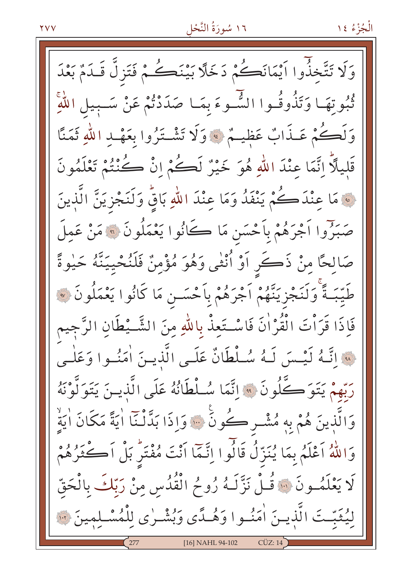وَلَا تَتَّخذُوا اَيْمَانَكُمْ دَخَلًا بَيْنَكُمْ فَتَزِلَّ قَـٰدَمٌ بَعْدَ ثُبُوتِهَـا وَتَذُوقُـوا الشَّـوءَ بِمَـا صَدَدْتُمْ عَنْ سَـبيلِ اللَّهِ وَلَكُمْ عَـذَابٌ عَظيـمٌ \* وَلَا تَشْـتَرُوا بِعَهْـدِ اللَّهِ ثَمَنًا قَليلاً اِنَّمَا عِنْدَ اللَّهِ هُوَ خَيْرٌ لَكُمْ إِنْ كُنْتُمْ تَعْلَمُونَ ِ مَا عِنْدَكُمْ يَنْفَدُ وَمَا عِنْدَ اللّهِ بَاقُ وَلَنَجْزِيَنَّ الَّذِينَ صَبَرُوا اَجْرَهُمْ بِاَحْسَنِ مَا ڪَانُوا يَعْمَلُونَ ۞ مَنْ عَمِلَ صَالحًا منْ ذَكَرٍ أَوْ أُنْثَى وَهُوَ مُؤْمِنٌ فَلَنُحْيِيَنَّهُ حَـٰوةً طَيّبَـةً وَلَنَجْزِيَنَّهُمْ أَجْرَهُمْ بِأَحْسَــن مَا كَانُوا يَعْمَلُونَ ۞ فَإِذَا قَرَأْتَ الْقُرْاٰنَ فَاسْتَعِذْ بِاللَّهِ مِنَ الشَّــْطَانِ الرَّجِيم لِهَ اتَّـهُ لَيْسَ لَـهُ سُـلْطَانٌ عَلَـى الَّذِيـنَ اٰمَنُـوا وَعَلْـى رَبِّهِمْ يَتَوَكَّلُونَ \* إِنَّمَا سُلْطَانُهُ عَلَى الَّذينَ يَتَوَلَّوْنَهُ وَالَّذِينَ هُمْ بِهِ مُشْـرٍ كُونٍّ ۞ وَإِذَا بَدَّنْـنَّا أَيَةً مَكَانَ أَيَةٌ وَاللَّهُ اَعْلَمُ بِمَا يُنَزِّلُ قَالُوا اِنَّمَّا اَنْتَ مُفْتَرٌ بَلْ اَكْثَرُهُمْ لَا يَعْلَمُــونَ ۞ قُـلْ نَزَّلَـهُ رُوحُ الْقُدُسِ مِنْ رَبِّكَ بِالْحَقّ ليُثَبّتَ الَّذِينَ اٰمَنُوا وَهُـدًى وَبُشْـرٰى لِلْمُسْـلِمِينَ لَنَّهُ [16] NAHL 94-102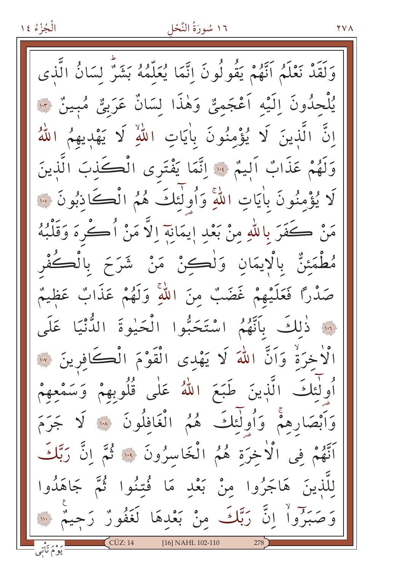#### ١٦ سُورَةُ النَّحْل

**YVA** 

وَلَقَدْ نَعْلَمُ اَنَّهُمْ يَقُولُونَ إِنَّمَا يُعَلَّمُهُ بَشَرٌ لِسَانُ الَّذي يُلْحِدُونَ إِلَيْهِ أَعْجَمِيٌّ وَهٰذَا لِسَانٌ عَرَبِيٌّ مُبِينٌ فَ اِنَّ الَّذِينَ لَا يُؤْمِنُونَ بِأَيَاتِ اللَّهِ لَا يَهْدِيهِمُ اللَّهُ وَلَهُمْ عَذَابٌ أَلِيمٌ \* إِنَّمَا يَفْتَرِي الْكَذِبَ الَّذِينَ لَا يُؤْمِنُونَ بِأَيَاتِ اللَّهِ وَأُولٰئِكَ هُمُ الْكَاذِبُونَ ۞ مَنْ كَفَرَ بِاللَّهِ مِنْ بَعْدِ إيمَانِهِ إلَّا مَنْ أُكْرَهَ وَقَلْبُهُ مُطْمَئِنٌّ بِالْإِيمَانِ وَلْكِنْ مَنْ شَرَحَ بِالْكُفْرِ صَدْرًا فَعَلَيْهِمْ غَضَبٌ مِنَ اللَّهِ وَلَهُمْ عَذَابٌ عَظيمٌ نَّةِ ذَٰلِكَ بِأَنَّهُمُ اسْتَحَبُّوا الْحَيْوةَ الدُّنْيَا عَلَى الْاخرَةْ وَاَنَّ اللهَ لَا يَهْدِى الْقَوْمَ الْكَافِرِينَ ۞ أُولٰئِكَ الَّذِينَ طَبَعَ اللَّهُ عَلَى قُلُوبِهِمْ وَسَمْعِهِمْ وَأَبْصَارِهِمْ وَأُولَٰئِكَ هُمُ الْغَافِلُونَ ﴾ لَا جَرَ مَ أَنَّهُمْ فِي الْأَخِرَةِ هُمُ الْخَاسِرُونَ ﴾ فَمَّ إِنَّ رَبَّكَ لِلَّذِينَ هَاجَرُوا مِنْ بَعْدِ مَا فُتِنُوا ثُمَّ جَاهَدُوا وَصَبَرُواْ إِنَّ رَبَّكَ مِنْ بَعْدِهَا لَغَفُورٌ رَحِيمٌ ۞  $CCUZ:14$ [16] NAHL 102-110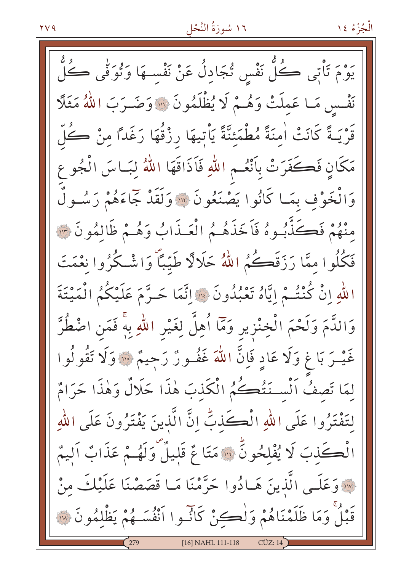يَوْمَ تَأْتِي ڪُلَّ نَفْسِ تُجَادِلُ عَنْ نَفْسِـهَا وَتُوَفِّي ڪُلَّ نَفْسِ مَا عَمِلَتْ وَهُـمْ لَا يُظْلَمُونَ ۞ وَضَـرَبَ اللَّهُ مَثَلًا قَرْيَـةً كَانَتْ اٰمِنَةً مُطْمَئِنَّةً يَاْتِيهَا رِزْقُهَا رَغَدًا مِنْ كُلِّ مَكَانٍ فَكَفَرَتْ بِأَنْعُمِ اللَّهِ فَاَذَاقَهَا اللَّهُ لِبَـاسَ الْجُوعِ وَالْخَوْفِ بِمَـا كَانُوا يَصْنَعُونَ ۞ وَلَقَدْ جَمَاءَهُمْ رَسُـولٌ مِنْهُمْ فَكَذَّبُوهُ فَاَخَذَهُمُ الْعَـذَابُ وَهُـمْ ظَالِمُونَ ٣ فَكُلُوا ممَّا رَزَقَكُمُ اللَّهُ حَلَالًا طَيِّبًا وَاشْكُرُوا نَعْمَتَ اللَّهِ إِنْ كُنْتُـمْ إِيَّاهُ تَعْبُدُونَ ۚ ۚ إِنَّمَا حَـرَّمَ عَلَيْكُمُ الْمَيْتَةَ وَالدَّمَ وَلَحْمَ الْخِنْزِيرِ وَمَآ أُهِلَّ لِغَيْرِ اللهِ بِهٖۚ فَمَنِ اضْطُرَّ غَيْــرَ بَا غِ وَلَا عَادٍ فَإِنَّ اللَّهَ غَفُــونٌ رَجِيمٌ ۞ وَلَا تَقُولُوا لمَا تَصفُ الْسَـنَتُكُمُ الْكَذِبَ هٰذَا حَلَالٌ وَهٰذَا حَرَامٌ لتَفْتَرُوا عَلَى اللهِ الْكَذِبِّ إِنَّ الَّذِينَ يَفْتَرُونَ عَلَى اللهِ الْكَذبَ لَا يُفْلِحُونَّ ۞ مَتَاعٌ قَلِيلٌ وَلَهُـمْ عَذَابٌ اَلِيمٌ · وَعَلَـى الَّذِينَ هَـادُوا حَرَّمْنَا مَـا قَصَصْنَا عَلَيْكَ مِنْ قَبْلٌ وَمَا ظَلَمْنَاهُمْ وَلْكِنْ كَانُسُوا اَنْفُسَـهُمْ يَظْلِمُونَ ۞ [16] NAHL 111-118